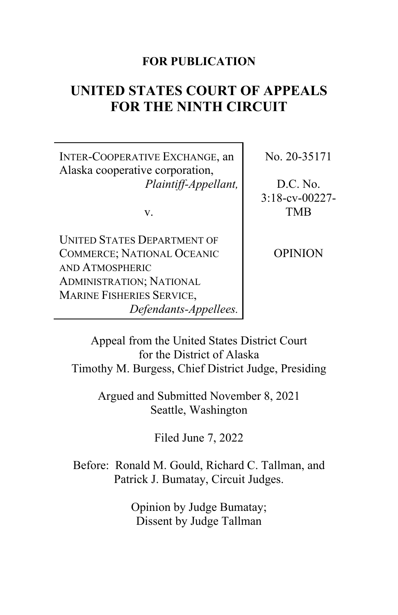# **FOR PUBLICATION**

# **UNITED STATES COURT OF APPEALS FOR THE NINTH CIRCUIT**

INTER-COOPERATIVE EXCHANGE, an Alaska cooperative corporation, *Plaintiff-Appellant,*

v.

UNITED STATES DEPARTMENT OF COMMERCE; NATIONAL OCEANIC AND ATMOSPHERIC ADMINISTRATION; NATIONAL MARINE FISHERIES SERVICE, *Defendants-Appellees.* No. 20-35171

D.C. No. 3:18-cv-00227- TMB

OPINION

Appeal from the United States District Court for the District of Alaska Timothy M. Burgess, Chief District Judge, Presiding

> Argued and Submitted November 8, 2021 Seattle, Washington

> > Filed June 7, 2022

Before: Ronald M. Gould, Richard C. Tallman, and Patrick J. Bumatay, Circuit Judges.

> Opinion by Judge Bumatay; Dissent by Judge Tallman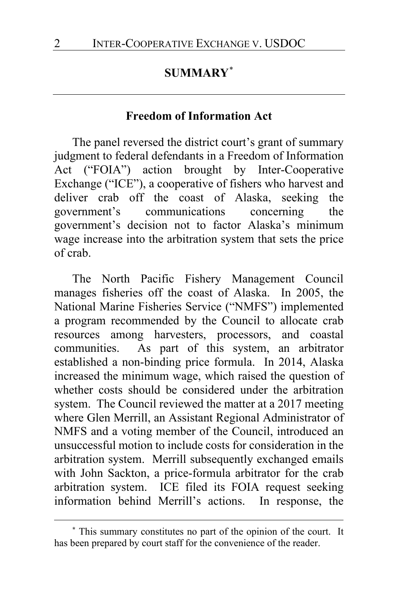# **SUMMARY**[\\*](#page-1-0)

#### **Freedom of Information Act**

The panel reversed the district court's grant of summary judgment to federal defendants in a Freedom of Information Act ("FOIA") action brought by Inter-Cooperative Exchange ("ICE"), a cooperative of fishers who harvest and deliver crab off the coast of Alaska, seeking the government's communications concerning the government's decision not to factor Alaska's minimum wage increase into the arbitration system that sets the price of crab.

The North Pacific Fishery Management Council manages fisheries off the coast of Alaska. In 2005, the National Marine Fisheries Service ("NMFS") implemented a program recommended by the Council to allocate crab resources among harvesters, processors, and coastal communities. As part of this system, an arbitrator established a non-binding price formula. In 2014, Alaska increased the minimum wage, which raised the question of whether costs should be considered under the arbitration system. The Council reviewed the matter at a 2017 meeting where Glen Merrill, an Assistant Regional Administrator of NMFS and a voting member of the Council, introduced an unsuccessful motion to include costs for consideration in the arbitration system. Merrill subsequently exchanged emails with John Sackton, a price-formula arbitrator for the crab arbitration system. ICE filed its FOIA request seeking information behind Merrill's actions. In response, the

<span id="page-1-0"></span>**<sup>\*</sup>** This summary constitutes no part of the opinion of the court. It has been prepared by court staff for the convenience of the reader.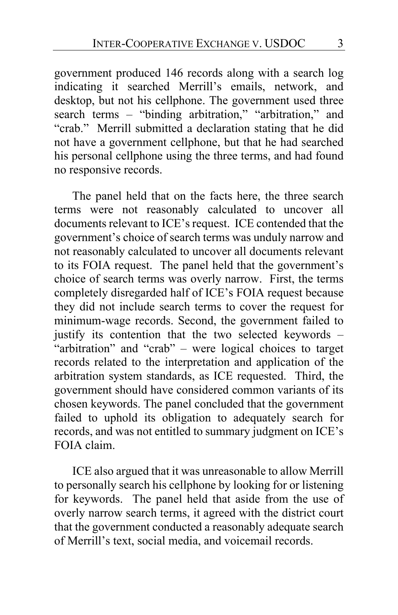government produced 146 records along with a search log indicating it searched Merrill's emails, network, and desktop, but not his cellphone. The government used three search terms – "binding arbitration," "arbitration," and "crab." Merrill submitted a declaration stating that he did not have a government cellphone, but that he had searched his personal cellphone using the three terms, and had found no responsive records.

The panel held that on the facts here, the three search terms were not reasonably calculated to uncover all documents relevant to ICE's request. ICE contended that the government's choice of search terms was unduly narrow and not reasonably calculated to uncover all documents relevant to its FOIA request. The panel held that the government's choice of search terms was overly narrow. First, the terms completely disregarded half of ICE's FOIA request because they did not include search terms to cover the request for minimum-wage records. Second, the government failed to justify its contention that the two selected keywords – "arbitration" and "crab" – were logical choices to target records related to the interpretation and application of the arbitration system standards, as ICE requested. Third, the government should have considered common variants of its chosen keywords. The panel concluded that the government failed to uphold its obligation to adequately search for records, and was not entitled to summary judgment on ICE's FOIA claim.

ICE also argued that it was unreasonable to allow Merrill to personally search his cellphone by looking for or listening for keywords. The panel held that aside from the use of overly narrow search terms, it agreed with the district court that the government conducted a reasonably adequate search of Merrill's text, social media, and voicemail records.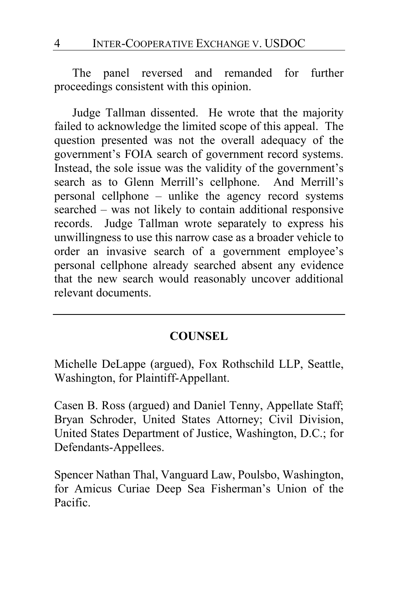The panel reversed and remanded for further proceedings consistent with this opinion.

Judge Tallman dissented. He wrote that the majority failed to acknowledge the limited scope of this appeal. The question presented was not the overall adequacy of the government's FOIA search of government record systems. Instead, the sole issue was the validity of the government's search as to Glenn Merrill's cellphone. And Merrill's personal cellphone – unlike the agency record systems searched – was not likely to contain additional responsive records. Judge Tallman wrote separately to express his unwillingness to use this narrow case as a broader vehicle to order an invasive search of a government employee's personal cellphone already searched absent any evidence that the new search would reasonably uncover additional relevant documents.

# **COUNSEL**

Michelle DeLappe (argued), Fox Rothschild LLP, Seattle, Washington, for Plaintiff-Appellant.

Casen B. Ross (argued) and Daniel Tenny, Appellate Staff; Bryan Schroder, United States Attorney; Civil Division, United States Department of Justice, Washington, D.C.; for Defendants-Appellees.

Spencer Nathan Thal, Vanguard Law, Poulsbo, Washington, for Amicus Curiae Deep Sea Fisherman's Union of the Pacific.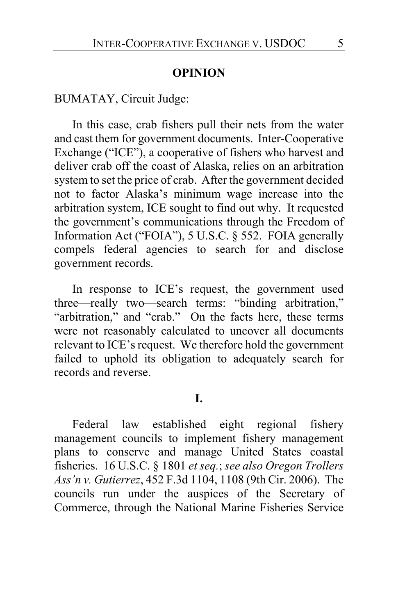### **OPINION**

BUMATAY, Circuit Judge:

In this case, crab fishers pull their nets from the water and cast them for government documents. Inter-Cooperative Exchange ("ICE"), a cooperative of fishers who harvest and deliver crab off the coast of Alaska, relies on an arbitration system to set the price of crab. After the government decided not to factor Alaska's minimum wage increase into the arbitration system, ICE sought to find out why. It requested the government's communications through the Freedom of Information Act ("FOIA"), 5 U.S.C. § 552. FOIA generally compels federal agencies to search for and disclose government records.

In response to ICE's request, the government used three—really two—search terms: "binding arbitration," "arbitration," and "crab." On the facts here, these terms were not reasonably calculated to uncover all documents relevant to ICE's request. We therefore hold the government failed to uphold its obligation to adequately search for records and reverse.

# **I.**

Federal law established eight regional fishery management councils to implement fishery management plans to conserve and manage United States coastal fisheries. 16 U.S.C. § 1801 *et seq.*; *see also Oregon Trollers Ass'n v. Gutierrez*, 452 F.3d 1104, 1108 (9th Cir. 2006). The councils run under the auspices of the Secretary of Commerce, through the National Marine Fisheries Service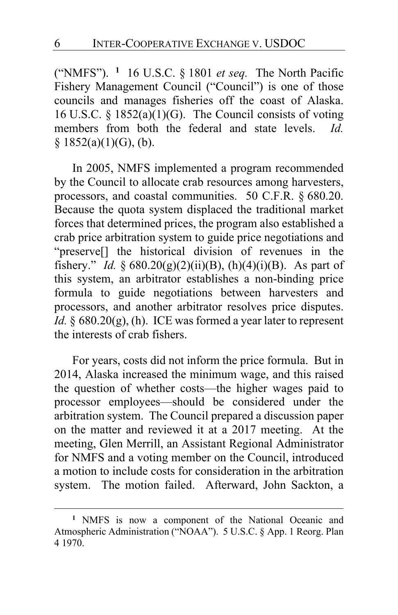("NMFS"). **[1](#page-5-0)** 16 U.S.C. § 1801 *et seq.* The North Pacific Fishery Management Council ("Council") is one of those councils and manages fisheries off the coast of Alaska. 16 U.S.C. §  $1852(a)(1)(G)$ . The Council consists of voting members from both the federal and state levels. *Id.*   $§$  1852(a)(1)(G), (b).

In 2005, NMFS implemented a program recommended by the Council to allocate crab resources among harvesters, processors, and coastal communities. 50 C.F.R. § 680.20. Because the quota system displaced the traditional market forces that determined prices, the program also established a crab price arbitration system to guide price negotiations and "preserve[] the historical division of revenues in the fishery." *Id.* § 680.20(g)(2)(ii)(B), (h)(4)(i)(B). As part of this system, an arbitrator establishes a non-binding price formula to guide negotiations between harvesters and processors, and another arbitrator resolves price disputes. *Id.* § 680.20(g), (h). ICE was formed a year later to represent the interests of crab fishers.

For years, costs did not inform the price formula. But in 2014, Alaska increased the minimum wage, and this raised the question of whether costs—the higher wages paid to processor employees—should be considered under the arbitration system. The Council prepared a discussion paper on the matter and reviewed it at a 2017 meeting. At the meeting, Glen Merrill, an Assistant Regional Administrator for NMFS and a voting member on the Council, introduced a motion to include costs for consideration in the arbitration system. The motion failed. Afterward, John Sackton, a

<span id="page-5-0"></span>**<sup>1</sup>** NMFS is now a component of the National Oceanic and Atmospheric Administration ("NOAA"). 5 U.S.C. § App. 1 Reorg. Plan 4 1970.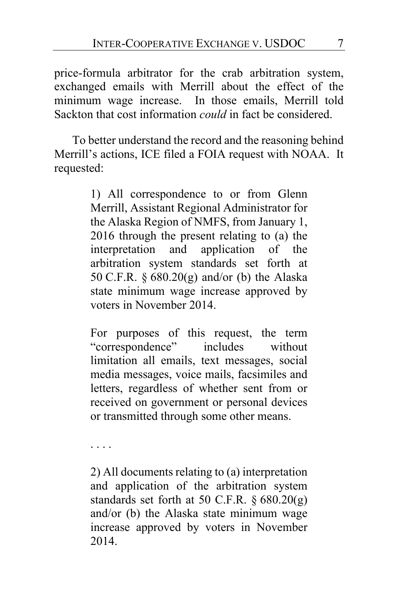price-formula arbitrator for the crab arbitration system, exchanged emails with Merrill about the effect of the minimum wage increase. In those emails, Merrill told Sackton that cost information *could* in fact be considered.

To better understand the record and the reasoning behind Merrill's actions, ICE filed a FOIA request with NOAA. It requested:

> 1) All correspondence to or from Glenn Merrill, Assistant Regional Administrator for the Alaska Region of NMFS, from January 1, 2016 through the present relating to (a) the interpretation and application of the arbitration system standards set forth at 50 C.F.R. § 680.20(g) and/or (b) the Alaska state minimum wage increase approved by voters in November 2014.

> For purposes of this request, the term "correspondence" includes without limitation all emails, text messages, social media messages, voice mails, facsimiles and letters, regardless of whether sent from or received on government or personal devices or transmitted through some other means.

. . . .

2) All documents relating to (a) interpretation and application of the arbitration system standards set forth at 50 C.F.R.  $\S 680.20(g)$ and/or (b) the Alaska state minimum wage increase approved by voters in November 2014.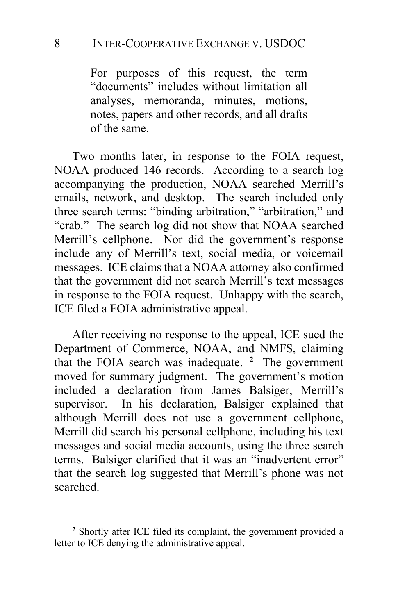For purposes of this request, the term "documents" includes without limitation all analyses, memoranda, minutes, motions, notes, papers and other records, and all drafts of the same.

Two months later, in response to the FOIA request, NOAA produced 146 records. According to a search log accompanying the production, NOAA searched Merrill's emails, network, and desktop. The search included only three search terms: "binding arbitration," "arbitration," and "crab." The search log did not show that NOAA searched Merrill's cellphone. Nor did the government's response include any of Merrill's text, social media, or voicemail messages. ICE claims that a NOAA attorney also confirmed that the government did not search Merrill's text messages in response to the FOIA request. Unhappy with the search, ICE filed a FOIA administrative appeal.

After receiving no response to the appeal, ICE sued the Department of Commerce, NOAA, and NMFS, claiming that the FOIA search was inadequate. **[2](#page-7-0)** The government moved for summary judgment. The government's motion included a declaration from James Balsiger, Merrill's supervisor. In his declaration, Balsiger explained that although Merrill does not use a government cellphone, Merrill did search his personal cellphone, including his text messages and social media accounts, using the three search terms. Balsiger clarified that it was an "inadvertent error" that the search log suggested that Merrill's phone was not searched.

<span id="page-7-0"></span>**<sup>2</sup>** Shortly after ICE filed its complaint, the government provided a letter to ICE denying the administrative appeal.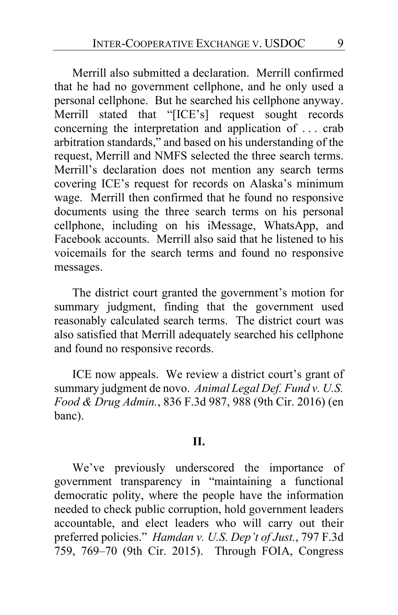Merrill also submitted a declaration. Merrill confirmed that he had no government cellphone, and he only used a personal cellphone. But he searched his cellphone anyway. Merrill stated that "[ICE's] request sought records concerning the interpretation and application of . . . crab arbitration standards," and based on his understanding of the request, Merrill and NMFS selected the three search terms. Merrill's declaration does not mention any search terms covering ICE's request for records on Alaska's minimum wage. Merrill then confirmed that he found no responsive documents using the three search terms on his personal cellphone, including on his iMessage, WhatsApp, and Facebook accounts. Merrill also said that he listened to his voicemails for the search terms and found no responsive messages.

The district court granted the government's motion for summary judgment, finding that the government used reasonably calculated search terms. The district court was also satisfied that Merrill adequately searched his cellphone and found no responsive records.

ICE now appeals. We review a district court's grant of summary judgment de novo. *Animal Legal Def. Fund v. U.S. Food & Drug Admin.*, 836 F.3d 987, 988 (9th Cir. 2016) (en banc).

#### **II.**

We've previously underscored the importance of government transparency in "maintaining a functional democratic polity, where the people have the information needed to check public corruption, hold government leaders accountable, and elect leaders who will carry out their preferred policies." *Hamdan v. U.S. Dep't of Just.*, 797 F.3d 759, 769–70 (9th Cir. 2015). Through FOIA, Congress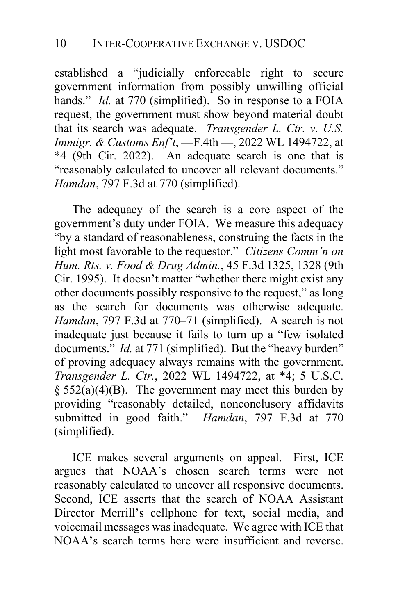established a "judicially enforceable right to secure government information from possibly unwilling official hands." *Id.* at 770 (simplified). So in response to a FOIA request, the government must show beyond material doubt that its search was adequate. *Transgender L. Ctr. v. U.S. Immigr. & Customs Enf't*, —F.4th —, 2022 WL 1494722, at \*4 (9th Cir. 2022). An adequate search is one that is "reasonably calculated to uncover all relevant documents." *Hamdan*, 797 F.3d at 770 (simplified).

The adequacy of the search is a core aspect of the government's duty under FOIA. We measure this adequacy "by a standard of reasonableness, construing the facts in the light most favorable to the requestor." *Citizens Comm'n on Hum. Rts. v. Food & Drug Admin.*, 45 F.3d 1325, 1328 (9th Cir. 1995). It doesn't matter "whether there might exist any other documents possibly responsive to the request," as long as the search for documents was otherwise adequate. *Hamdan*, 797 F.3d at 770–71 (simplified). A search is not inadequate just because it fails to turn up a "few isolated documents." *Id.* at 771 (simplified). But the "heavy burden" of proving adequacy always remains with the government. *Transgender L. Ctr.*, 2022 WL 1494722, at \*4; 5 U.S.C.  $§ 552(a)(4)(B)$ . The government may meet this burden by providing "reasonably detailed, nonconclusory affidavits submitted in good faith." *Hamdan*, 797 F.3d at 770 (simplified).

ICE makes several arguments on appeal. First, ICE argues that NOAA's chosen search terms were not reasonably calculated to uncover all responsive documents. Second, ICE asserts that the search of NOAA Assistant Director Merrill's cellphone for text, social media, and voicemail messages was inadequate. We agree with ICE that NOAA's search terms here were insufficient and reverse.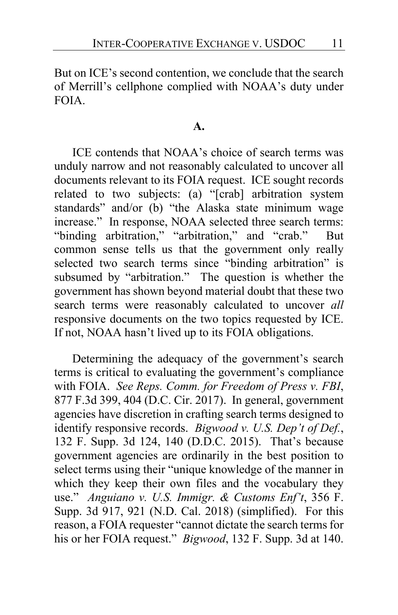But on ICE's second contention, we conclude that the search of Merrill's cellphone complied with NOAA's duty under FOIA.

#### **A.**

ICE contends that NOAA's choice of search terms was unduly narrow and not reasonably calculated to uncover all documents relevant to its FOIA request. ICE sought records related to two subjects: (a) "[crab] arbitration system standards" and/or (b) "the Alaska state minimum wage increase." In response, NOAA selected three search terms: "binding arbitration," "arbitration," and "crab." But common sense tells us that the government only really selected two search terms since "binding arbitration" is subsumed by "arbitration." The question is whether the government has shown beyond material doubt that these two search terms were reasonably calculated to uncover *all*  responsive documents on the two topics requested by ICE. If not, NOAA hasn't lived up to its FOIA obligations.

Determining the adequacy of the government's search terms is critical to evaluating the government's compliance with FOIA. *See Reps. Comm. for Freedom of Press v. FBI*, 877 F.3d 399, 404 (D.C. Cir. 2017). In general, government agencies have discretion in crafting search terms designed to identify responsive records. *Bigwood v. U.S. Dep't of Def.*, 132 F. Supp. 3d 124, 140 (D.D.C. 2015). That's because government agencies are ordinarily in the best position to select terms using their "unique knowledge of the manner in which they keep their own files and the vocabulary they use." *Anguiano v. U.S. Immigr. & Customs Enf't*, 356 F. Supp. 3d 917, 921 (N.D. Cal. 2018) (simplified). For this reason, a FOIA requester "cannot dictate the search terms for his or her FOIA request." *Bigwood*, 132 F. Supp. 3d at 140.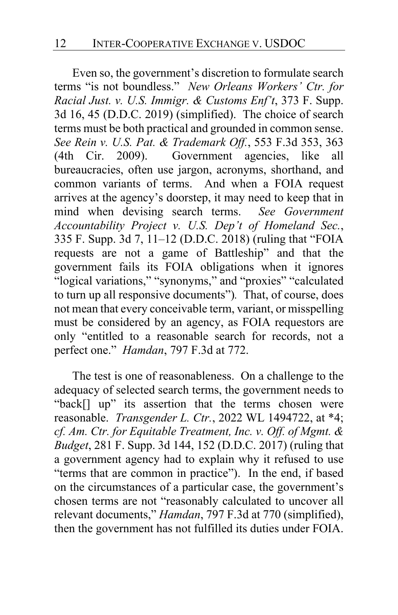Even so, the government's discretion to formulate search terms "is not boundless." *New Orleans Workers' Ctr. for Racial Just. v. U.S. Immigr. & Customs Enf't*, 373 F. Supp. 3d 16, 45 (D.D.C. 2019) (simplified). The choice of search terms must be both practical and grounded in common sense. *See Rein v. U.S. Pat. & Trademark Off.*, 553 F.3d 353, 363 (4th Cir. 2009). Government agencies, like all bureaucracies, often use jargon, acronyms, shorthand, and common variants of terms. And when a FOIA request arrives at the agency's doorstep, it may need to keep that in mind when devising search terms. *See Government Accountability Project v. U.S. Dep't of Homeland Sec.*, 335 F. Supp. 3d 7, 11–12 (D.D.C. 2018) (ruling that "FOIA requests are not a game of Battleship" and that the government fails its FOIA obligations when it ignores "logical variations," "synonyms," and "proxies" "calculated to turn up all responsive documents")*.* That, of course, does not mean that every conceivable term, variant, or misspelling must be considered by an agency, as FOIA requestors are only "entitled to a reasonable search for records, not a perfect one." *Hamdan*, 797 F.3d at 772.

The test is one of reasonableness. On a challenge to the adequacy of selected search terms, the government needs to "back[] up" its assertion that the terms chosen were reasonable. *Transgender L. Ctr.*, 2022 WL 1494722, at \*4; *cf. Am. Ctr. for Equitable Treatment, Inc. v. Off. of Mgmt. & Budget*, 281 F. Supp. 3d 144, 152 (D.D.C. 2017) (ruling that a government agency had to explain why it refused to use "terms that are common in practice"). In the end, if based on the circumstances of a particular case, the government's chosen terms are not "reasonably calculated to uncover all relevant documents," *Hamdan*, 797 F.3d at 770 (simplified), then the government has not fulfilled its duties under FOIA.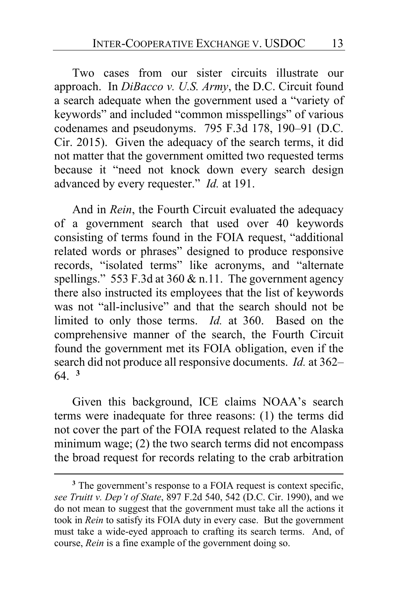Two cases from our sister circuits illustrate our approach. In *DiBacco v. U.S. Army*, the D.C. Circuit found a search adequate when the government used a "variety of keywords" and included "common misspellings" of various codenames and pseudonyms. 795 F.3d 178, 190–91 (D.C. Cir. 2015). Given the adequacy of the search terms, it did not matter that the government omitted two requested terms because it "need not knock down every search design advanced by every requester." *Id.* at 191.

And in *Rein*, the Fourth Circuit evaluated the adequacy of a government search that used over 40 keywords consisting of terms found in the FOIA request, "additional related words or phrases" designed to produce responsive records, "isolated terms" like acronyms, and "alternate spellings." 553 F.3d at 360 & n.11. The government agency there also instructed its employees that the list of keywords was not "all-inclusive" and that the search should not be limited to only those terms. *Id.* at 360. Based on the comprehensive manner of the search, the Fourth Circuit found the government met its FOIA obligation, even if the search did not produce all responsive documents. *Id.* at 362– 64. **[3](#page-12-0)**

Given this background, ICE claims NOAA's search terms were inadequate for three reasons: (1) the terms did not cover the part of the FOIA request related to the Alaska minimum wage; (2) the two search terms did not encompass the broad request for records relating to the crab arbitration

<span id="page-12-0"></span>**<sup>3</sup>** The government's response to a FOIA request is context specific, *see Truitt v. Dep't of State*, 897 F.2d 540, 542 (D.C. Cir. 1990), and we do not mean to suggest that the government must take all the actions it took in *Rein* to satisfy its FOIA duty in every case. But the government must take a wide-eyed approach to crafting its search terms. And, of course, *Rein* is a fine example of the government doing so.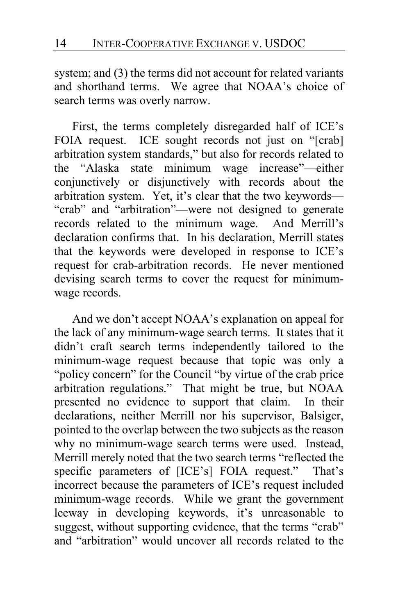system; and (3) the terms did not account for related variants and shorthand terms. We agree that NOAA's choice of search terms was overly narrow.

First, the terms completely disregarded half of ICE's FOIA request. ICE sought records not just on "[crab] arbitration system standards," but also for records related to the "Alaska state minimum wage increase"—either conjunctively or disjunctively with records about the arbitration system. Yet, it's clear that the two keywords— "crab" and "arbitration"—were not designed to generate records related to the minimum wage. And Merrill's declaration confirms that. In his declaration, Merrill states that the keywords were developed in response to ICE's request for crab-arbitration records. He never mentioned devising search terms to cover the request for minimumwage records.

And we don't accept NOAA's explanation on appeal for the lack of any minimum-wage search terms. It states that it didn't craft search terms independently tailored to the minimum-wage request because that topic was only a "policy concern" for the Council "by virtue of the crab price arbitration regulations." That might be true, but NOAA presented no evidence to support that claim. In their declarations, neither Merrill nor his supervisor, Balsiger, pointed to the overlap between the two subjects as the reason why no minimum-wage search terms were used. Instead, Merrill merely noted that the two search terms "reflected the specific parameters of [ICE's] FOIA request." That's incorrect because the parameters of ICE's request included minimum-wage records. While we grant the government leeway in developing keywords, it's unreasonable to suggest, without supporting evidence, that the terms "crab" and "arbitration" would uncover all records related to the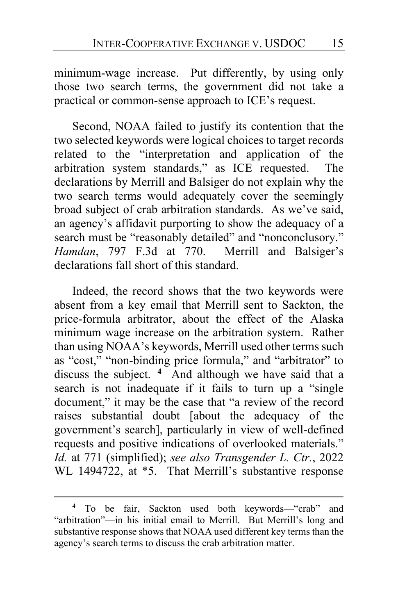minimum-wage increase. Put differently, by using only those two search terms, the government did not take a practical or common-sense approach to ICE's request.

Second, NOAA failed to justify its contention that the two selected keywords were logical choices to target records related to the "interpretation and application of the arbitration system standards," as ICE requested. The declarations by Merrill and Balsiger do not explain why the two search terms would adequately cover the seemingly broad subject of crab arbitration standards. As we've said, an agency's affidavit purporting to show the adequacy of a search must be "reasonably detailed" and "nonconclusory." *Hamdan*, 797 F.3d at 770. Merrill and Balsiger's declarations fall short of this standard.

Indeed, the record shows that the two keywords were absent from a key email that Merrill sent to Sackton, the price-formula arbitrator, about the effect of the Alaska minimum wage increase on the arbitration system. Rather than using NOAA's keywords, Merrill used other terms such as "cost," "non-binding price formula," and "arbitrator" to discuss the subject. **[4](#page-14-0)** And although we have said that a search is not inadequate if it fails to turn up a "single document," it may be the case that "a review of the record raises substantial doubt [about the adequacy of the government's search], particularly in view of well-defined requests and positive indications of overlooked materials." *Id.* at 771 (simplified); *see also Transgender L. Ctr.*, 2022 WL 1494722, at \*5. That Merrill's substantive response

<span id="page-14-0"></span>**<sup>4</sup>** To be fair, Sackton used both keywords—"crab" and "arbitration"—in his initial email to Merrill. But Merrill's long and substantive response shows that NOAA used different key terms than the agency's search terms to discuss the crab arbitration matter.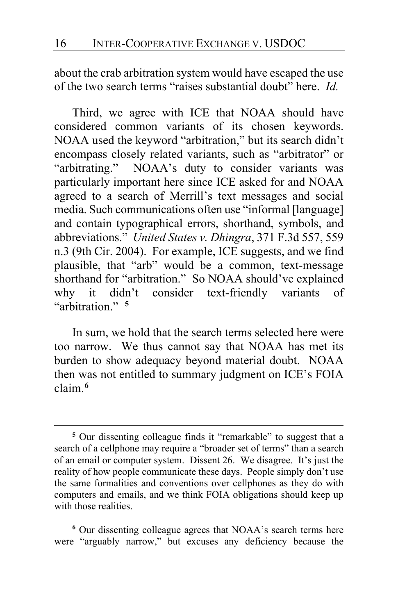about the crab arbitration system would have escaped the use of the two search terms "raises substantial doubt" here. *Id.*

Third, we agree with ICE that NOAA should have considered common variants of its chosen keywords. NOAA used the keyword "arbitration," but its search didn't encompass closely related variants, such as "arbitrator" or "arbitrating." NOAA's duty to consider variants was particularly important here since ICE asked for and NOAA agreed to a search of Merrill's text messages and social media. Such communications often use "informal [language] and contain typographical errors, shorthand, symbols, and abbreviations." *United States v. Dhingra*, 371 F.3d 557, 559 n.3 (9th Cir. 2004). For example, ICE suggests, and we find plausible, that "arb" would be a common, text-message shorthand for "arbitration." So NOAA should've explained why it didn't consider text-friendly variants of "arbitration." **[5](#page-15-0)**

In sum, we hold that the search terms selected here were too narrow. We thus cannot say that NOAA has met its burden to show adequacy beyond material doubt. NOAA then was not entitled to summary judgment on ICE's FOIA claim.**<sup>6</sup>**

**<sup>6</sup>** Our dissenting colleague agrees that NOAA's search terms here were "arguably narrow," but excuses any deficiency because the

<span id="page-15-1"></span><span id="page-15-0"></span>**<sup>5</sup>** Our dissenting colleague finds it "remarkable" to suggest that a search of a cellphone may require a "broader set of terms" than a search of an email or computer system. Dissent [26.](#page-25-0) We disagree. It's just the reality of how people communicate these days. People simply don't use the same formalities and conventions over cellphones as they do with computers and emails, and we think FOIA obligations should keep up with those realities.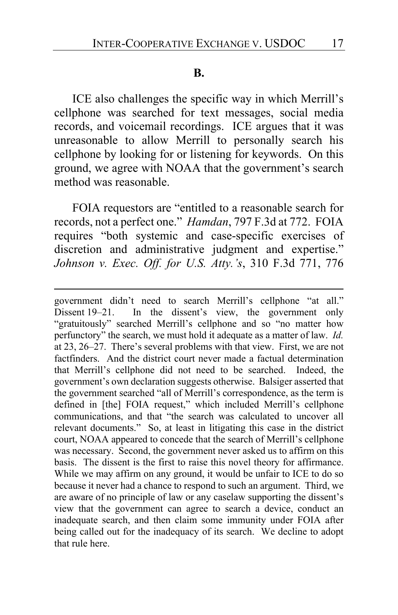#### **B.**

ICE also challenges the specific way in which Merrill's cellphone was searched for text messages, social media records, and voicemail recordings. ICE argues that it was unreasonable to allow Merrill to personally search his cellphone by looking for or listening for keywords. On this ground, we agree with NOAA that the government's search method was reasonable.

FOIA requestors are "entitled to a reasonable search for records, not a perfect one." *Hamdan*, 797 F.3d at 772. FOIA requires "both systemic and case-specific exercises of discretion and administrative judgment and expertise." *Johnson v. Exec. Off. for U.S. Atty.'s*, 310 F.3d 771, 776

government didn't need to search Merrill's cellphone "at all." Dissent [19](#page-18-0)[–21.](#page-20-0) In the dissent's view, the government only "gratuitously" searched Merrill's cellphone and so "no matter how perfunctory" the search, we must hold it adequate as a matter of law. *Id.* a[t 23,](#page-22-0) [26–](#page-25-1)[27.](#page-26-0) There's several problems with that view. First, we are not factfinders. And the district court never made a factual determination that Merrill's cellphone did not need to be searched. Indeed, the government's own declaration suggests otherwise. Balsiger asserted that the government searched "all of Merrill's correspondence, as the term is defined in [the] FOIA request," which included Merrill's cellphone communications, and that "the search was calculated to uncover all relevant documents." So, at least in litigating this case in the district court, NOAA appeared to concede that the search of Merrill's cellphone was necessary. Second, the government never asked us to affirm on this basis. The dissent is the first to raise this novel theory for affirmance. While we may affirm on any ground, it would be unfair to ICE to do so because it never had a chance to respond to such an argument. Third, we are aware of no principle of law or any caselaw supporting the dissent's view that the government can agree to search a device, conduct an inadequate search, and then claim some immunity under FOIA after being called out for the inadequacy of its search. We decline to adopt that rule here.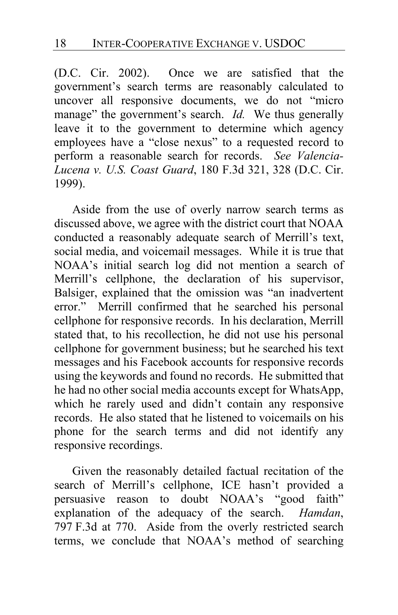(D.C. Cir. 2002). Once we are satisfied that the government's search terms are reasonably calculated to uncover all responsive documents, we do not "micro manage" the government's search. *Id.* We thus generally leave it to the government to determine which agency employees have a "close nexus" to a requested record to perform a reasonable search for records. *See Valencia-Lucena v. U.S. Coast Guard*, 180 F.3d 321, 328 (D.C. Cir. 1999).

Aside from the use of overly narrow search terms as discussed above, we agree with the district court that NOAA conducted a reasonably adequate search of Merrill's text, social media, and voicemail messages. While it is true that NOAA's initial search log did not mention a search of Merrill's cellphone, the declaration of his supervisor, Balsiger, explained that the omission was "an inadvertent error." Merrill confirmed that he searched his personal cellphone for responsive records. In his declaration, Merrill stated that, to his recollection, he did not use his personal cellphone for government business; but he searched his text messages and his Facebook accounts for responsive records using the keywords and found no records. He submitted that he had no other social media accounts except for WhatsApp, which he rarely used and didn't contain any responsive records. He also stated that he listened to voicemails on his phone for the search terms and did not identify any responsive recordings.

Given the reasonably detailed factual recitation of the search of Merrill's cellphone, ICE hasn't provided a persuasive reason to doubt NOAA's "good faith" explanation of the adequacy of the search. *Hamdan*, 797 F.3d at 770. Aside from the overly restricted search terms, we conclude that NOAA's method of searching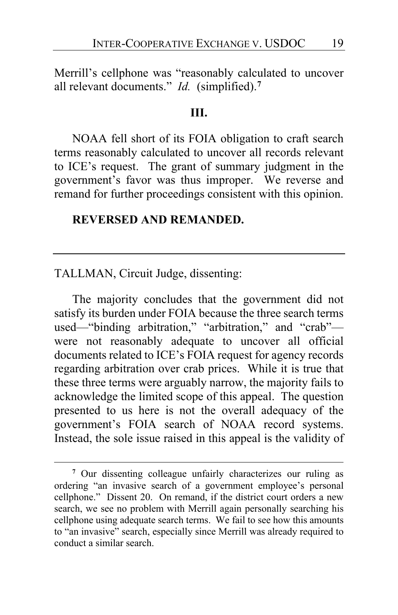Merrill's cellphone was "reasonably calculated to uncover all relevant documents." *Id.* (simplified).**<sup>7</sup>**

#### **III.**

NOAA fell short of its FOIA obligation to craft search terms reasonably calculated to uncover all records relevant to ICE's request. The grant of summary judgment in the government's favor was thus improper. We reverse and remand for further proceedings consistent with this opinion.

# **REVERSED AND REMANDED.**

#### TALLMAN, Circuit Judge, dissenting:

<span id="page-18-0"></span>The majority concludes that the government did not satisfy its burden under FOIA because the three search terms used—"binding arbitration," "arbitration," and "crab" were not reasonably adequate to uncover all official documents related to ICE's FOIA request for agency records regarding arbitration over crab prices. While it is true that these three terms were arguably narrow, the majority fails to acknowledge the limited scope of this appeal. The question presented to us here is not the overall adequacy of the government's FOIA search of NOAA record systems. Instead, the sole issue raised in this appeal is the validity of

**<sup>7</sup>** Our dissenting colleague unfairly characterizes our ruling as ordering "an invasive search of a government employee's personal cellphone." Dissent [20.](#page-19-0) On remand, if the district court orders a new search, we see no problem with Merrill again personally searching his cellphone using adequate search terms. We fail to see how this amounts to "an invasive" search, especially since Merrill was already required to conduct a similar search.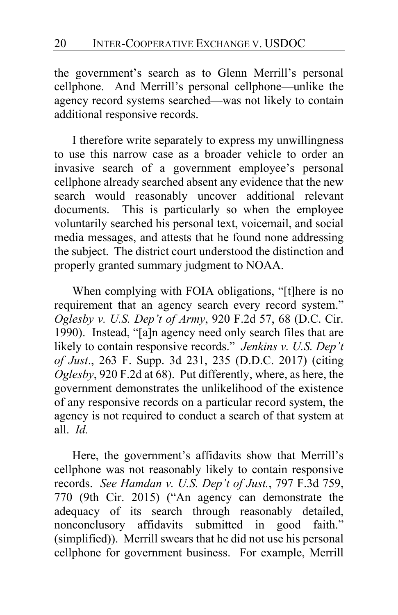the government's search as to Glenn Merrill's personal cellphone. And Merrill's personal cellphone—unlike the agency record systems searched—was not likely to contain additional responsive records.

<span id="page-19-0"></span>I therefore write separately to express my unwillingness to use this narrow case as a broader vehicle to order an invasive search of a government employee's personal cellphone already searched absent any evidence that the new search would reasonably uncover additional relevant documents. This is particularly so when the employee voluntarily searched his personal text, voicemail, and social media messages, and attests that he found none addressing the subject. The district court understood the distinction and properly granted summary judgment to NOAA.

When complying with FOIA obligations, "[t]here is no requirement that an agency search every record system." *Oglesby v. U.S. Dep't of Army*, 920 F.2d 57, 68 (D.C. Cir. 1990). Instead, "[a]n agency need only search files that are likely to contain responsive records." *Jenkins v. U.S. Dep't of Just*., 263 F. Supp. 3d 231, 235 (D.D.C. 2017) (citing *Oglesby*, 920 F.2d at 68). Put differently, where, as here, the government demonstrates the unlikelihood of the existence of any responsive records on a particular record system, the agency is not required to conduct a search of that system at all. *Id.*

Here, the government's affidavits show that Merrill's cellphone was not reasonably likely to contain responsive records. *See Hamdan v. U.S. Dep't of Just.*, 797 F.3d 759, 770 (9th Cir. 2015) ("An agency can demonstrate the adequacy of its search through reasonably detailed, nonconclusory affidavits submitted in good faith." (simplified)). Merrill swears that he did not use his personal cellphone for government business. For example, Merrill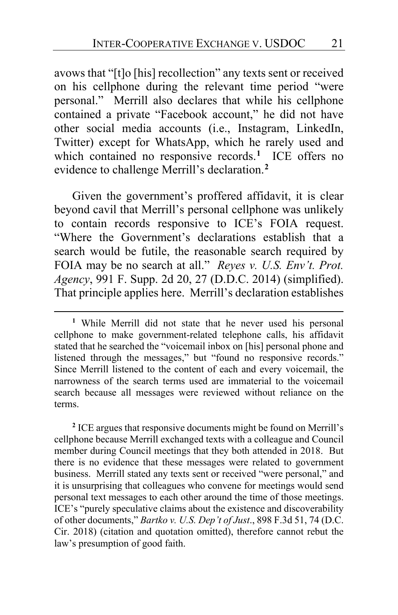avows that "[t]o [his] recollection" any texts sent or received on his cellphone during the relevant time period "were personal." Merrill also declares that while his cellphone contained a private "Facebook account," he did not have other social media accounts (i.e., Instagram, LinkedIn, Twitter) except for WhatsApp, which he rarely used and which contained no responsive records.<sup>[1](#page-20-1)</sup> ICE offers no evidence to challenge Merrill's declaration.**[2](#page-20-2)**

Given the government's proffered affidavit, it is clear beyond cavil that Merrill's personal cellphone was unlikely to contain records responsive to ICE's FOIA request. "Where the Government's declarations establish that a search would be futile, the reasonable search required by FOIA may be no search at all." *Reyes v. U.S. Env't. Prot. Agency*, 991 F. Supp. 2d 20, 27 (D.D.C. 2014) (simplified). That principle applies here. Merrill's declaration establishes

<span id="page-20-2"></span>**<sup>2</sup>** ICE argues that responsive documents might be found on Merrill's cellphone because Merrill exchanged texts with a colleague and Council member during Council meetings that they both attended in 2018. But there is no evidence that these messages were related to government business. Merrill stated any texts sent or received "were personal," and it is unsurprising that colleagues who convene for meetings would send personal text messages to each other around the time of those meetings. ICE's "purely speculative claims about the existence and discoverability of other documents," *Bartko v. U.S. Dep't of Just*., 898 F.3d 51, 74 (D.C. Cir. 2018) (citation and quotation omitted), therefore cannot rebut the law's presumption of good faith.

<span id="page-20-1"></span><span id="page-20-0"></span>**<sup>1</sup>** While Merrill did not state that he never used his personal cellphone to make government-related telephone calls, his affidavit stated that he searched the "voicemail inbox on [his] personal phone and listened through the messages," but "found no responsive records." Since Merrill listened to the content of each and every voicemail, the narrowness of the search terms used are immaterial to the voicemail search because all messages were reviewed without reliance on the terms.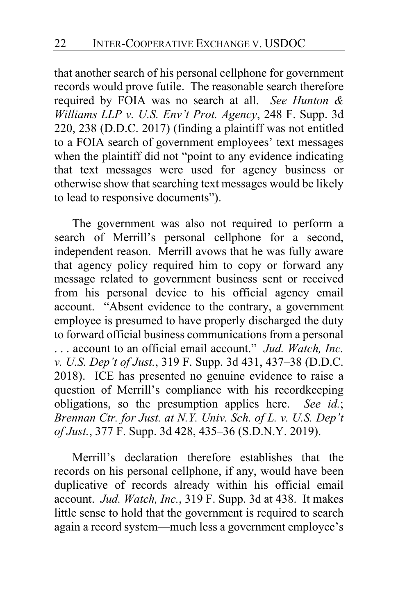that another search of his personal cellphone for government records would prove futile. The reasonable search therefore required by FOIA was no search at all. *See Hunton & Williams LLP v. U.S. Env't Prot. Agency*, 248 F. Supp. 3d 220, 238 (D.D.C. 2017) (finding a plaintiff was not entitled to a FOIA search of government employees' text messages when the plaintiff did not "point to any evidence indicating that text messages were used for agency business or otherwise show that searching text messages would be likely to lead to responsive documents").

The government was also not required to perform a search of Merrill's personal cellphone for a second, independent reason. Merrill avows that he was fully aware that agency policy required him to copy or forward any message related to government business sent or received from his personal device to his official agency email account. "Absent evidence to the contrary, a government employee is presumed to have properly discharged the duty to forward official business communications from a personal . . . account to an official email account." *Jud. Watch, Inc. v. U.S. Dep't of Just.*, 319 F. Supp. 3d 431, 437–38 (D.D.C. 2018). ICE has presented no genuine evidence to raise a question of Merrill's compliance with his recordkeeping obligations, so the presumption applies here. *See id.*; *Brennan Ctr. for Just. at N.Y. Univ. Sch. of L. v. U.S. Dep't of Just.*, 377 F. Supp. 3d 428, 435–36 (S.D.N.Y. 2019).

Merrill's declaration therefore establishes that the records on his personal cellphone, if any, would have been duplicative of records already within his official email account. *Jud. Watch, Inc.*, 319 F. Supp. 3d at 438. It makes little sense to hold that the government is required to search again a record system—much less a government employee's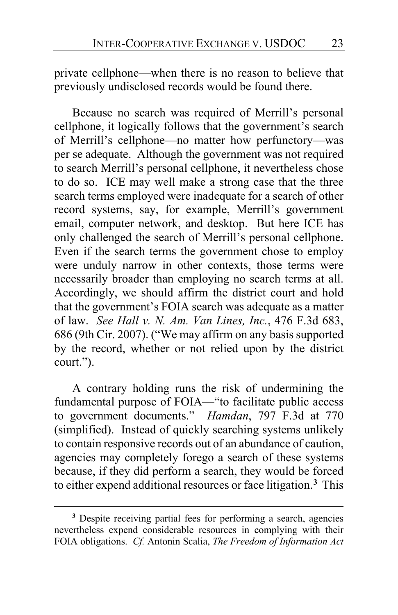private cellphone—when there is no reason to believe that previously undisclosed records would be found there.

<span id="page-22-0"></span>Because no search was required of Merrill's personal cellphone, it logically follows that the government's search of Merrill's cellphone—no matter how perfunctory—was per se adequate. Although the government was not required to search Merrill's personal cellphone, it nevertheless chose to do so. ICE may well make a strong case that the three search terms employed were inadequate for a search of other record systems, say, for example, Merrill's government email, computer network, and desktop. But here ICE has only challenged the search of Merrill's personal cellphone. Even if the search terms the government chose to employ were unduly narrow in other contexts, those terms were necessarily broader than employing no search terms at all. Accordingly, we should affirm the district court and hold that the government's FOIA search was adequate as a matter of law. *See Hall v. N. Am. Van Lines, Inc.*, 476 F.3d 683, 686 (9th Cir. 2007). ("We may affirm on any basis supported by the record, whether or not relied upon by the district court.").

A contrary holding runs the risk of undermining the fundamental purpose of FOIA—"to facilitate public access to government documents." *Hamdan*, 797 F.3d at 770 (simplified). Instead of quickly searching systems unlikely to contain responsive records out of an abundance of caution, agencies may completely forego a search of these systems because, if they did perform a search, they would be forced to either expend additional resources or face litigation.**[3](#page-22-1)** This

<span id="page-22-1"></span>**<sup>3</sup>** Despite receiving partial fees for performing a search, agencies nevertheless expend considerable resources in complying with their FOIA obligations. *Cf.* Antonin Scalia, *The Freedom of Information Act*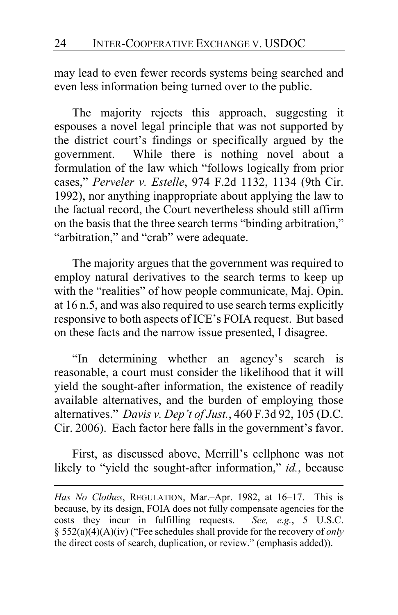may lead to even fewer records systems being searched and even less information being turned over to the public.

The majority rejects this approach, suggesting it espouses a novel legal principle that was not supported by the district court's findings or specifically argued by the government. While there is nothing novel about a formulation of the law which "follows logically from prior cases," *Perveler v. Estelle*, 974 F.2d 1132, 1134 (9th Cir. 1992), nor anything inappropriate about applying the law to the factual record, the Court nevertheless should still affirm on the basis that the three search terms "binding arbitration," "arbitration," and "crab" were adequate.

The majority argues that the government was required to employ natural derivatives to the search terms to keep up with the "realities" of how people communicate, Maj. Opin. at [16](#page-15-1) n.5, and was also required to use search terms explicitly responsive to both aspects of ICE's FOIA request. But based on these facts and the narrow issue presented, I disagree.

"In determining whether an agency's search is reasonable, a court must consider the likelihood that it will yield the sought-after information, the existence of readily available alternatives, and the burden of employing those alternatives." *Davis v. Dep't of Just.*, 460 F.3d 92, 105 (D.C. Cir. 2006). Each factor here falls in the government's favor.

First, as discussed above, Merrill's cellphone was not likely to "yield the sought-after information," *id.*, because

*Has No Clothes*, REGULATION, Mar.–Apr. 1982, at 16–17. This is because, by its design, FOIA does not fully compensate agencies for the costs they incur in fulfilling requests. *See, e.g.*, 5 U.S.C. § 552(a)(4)(A)(iv) ("Fee schedules shall provide for the recovery of *only*  the direct costs of search, duplication, or review." (emphasis added)).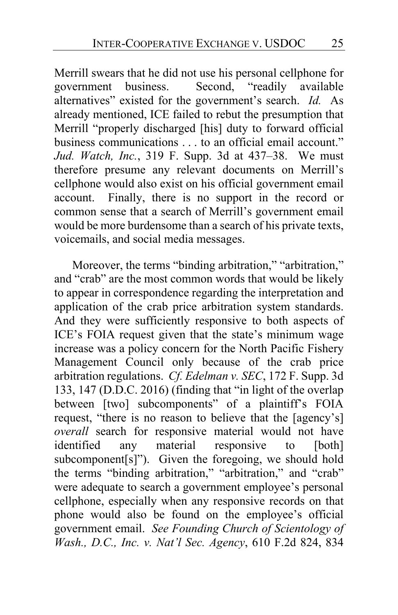Merrill swears that he did not use his personal cellphone for government business. Second, "readily available alternatives" existed for the government's search. *Id.* As already mentioned, ICE failed to rebut the presumption that Merrill "properly discharged [his] duty to forward official business communications . . . to an official email account." *Jud. Watch, Inc.*, 319 F. Supp. 3d at 437–38. We must therefore presume any relevant documents on Merrill's cellphone would also exist on his official government email account. Finally, there is no support in the record or common sense that a search of Merrill's government email would be more burdensome than a search of his private texts, voicemails, and social media messages.

Moreover, the terms "binding arbitration," "arbitration," and "crab" are the most common words that would be likely to appear in correspondence regarding the interpretation and application of the crab price arbitration system standards. And they were sufficiently responsive to both aspects of ICE's FOIA request given that the state's minimum wage increase was a policy concern for the North Pacific Fishery Management Council only because of the crab price arbitration regulations. *Cf. Edelman v. SEC*, 172 F. Supp. 3d 133, 147 (D.D.C. 2016) (finding that "in light of the overlap between [two] subcomponents" of a plaintiff's FOIA request, "there is no reason to believe that the [agency's] *overall* search for responsive material would not have identified any material responsive to [both] identified any material responsive to [both] subcomponent[s]"). Given the foregoing, we should hold the terms "binding arbitration," "arbitration," and "crab" were adequate to search a government employee's personal cellphone, especially when any responsive records on that phone would also be found on the employee's official government email. *See Founding Church of Scientology of Wash., D.C., Inc. v. Nat'l Sec. Agency*, 610 F.2d 824, 834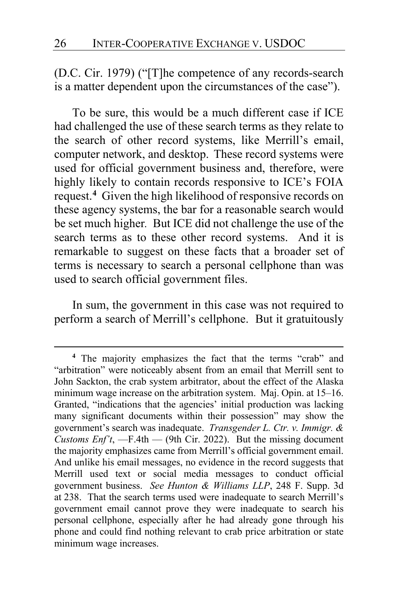(D.C. Cir. 1979) ("[T]he competence of any records-search is a matter dependent upon the circumstances of the case").

To be sure, this would be a much different case if ICE had challenged the use of these search terms as they relate to the search of other record systems, like Merrill's email, computer network, and desktop. These record systems were used for official government business and, therefore, were highly likely to contain records responsive to ICE's FOIA request.**[4](#page-25-2)** Given the high likelihood of responsive records on these agency systems, the bar for a reasonable search would be set much higher*.* But ICE did not challenge the use of the search terms as to these other record systems. And it is remarkable to suggest on these facts that a broader set of terms is necessary to search a personal cellphone than was used to search official government files.

<span id="page-25-1"></span><span id="page-25-0"></span>In sum, the government in this case was not required to perform a search of Merrill's cellphone. But it gratuitously

<span id="page-25-2"></span>**<sup>4</sup>** The majority emphasizes the fact that the terms "crab" and "arbitration" were noticeably absent from an email that Merrill sent to John Sackton, the crab system arbitrator, about the effect of the Alaska minimum wage increase on the arbitration system. Maj. Opin. at 15–16. Granted, "indications that the agencies' initial production was lacking many significant documents within their possession" may show the government's search was inadequate. *Transgender L. Ctr. v. Immigr. & Customs Enf't*, —F.4th — (9th Cir. 2022). But the missing document the majority emphasizes came from Merrill's official government email. And unlike his email messages, no evidence in the record suggests that Merrill used text or social media messages to conduct official government business. *See Hunton & Williams LLP*, 248 F. Supp. 3d at 238. That the search terms used were inadequate to search Merrill's government email cannot prove they were inadequate to search his personal cellphone, especially after he had already gone through his phone and could find nothing relevant to crab price arbitration or state minimum wage increases.